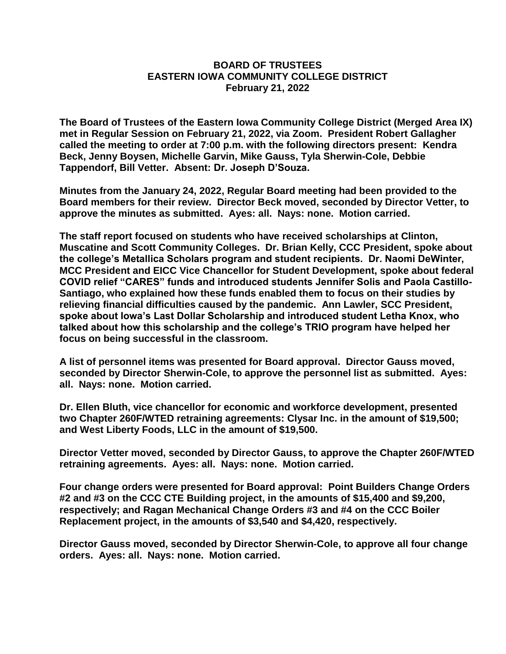## **BOARD OF TRUSTEES EASTERN IOWA COMMUNITY COLLEGE DISTRICT February 21, 2022**

**The Board of Trustees of the Eastern Iowa Community College District (Merged Area IX) met in Regular Session on February 21, 2022, via Zoom. President Robert Gallagher called the meeting to order at 7:00 p.m. with the following directors present: Kendra Beck, Jenny Boysen, Michelle Garvin, Mike Gauss, Tyla Sherwin-Cole, Debbie Tappendorf, Bill Vetter. Absent: Dr. Joseph D'Souza.**

**Minutes from the January 24, 2022, Regular Board meeting had been provided to the Board members for their review. Director Beck moved, seconded by Director Vetter, to approve the minutes as submitted. Ayes: all. Nays: none. Motion carried.**

**The staff report focused on students who have received scholarships at Clinton, Muscatine and Scott Community Colleges. Dr. Brian Kelly, CCC President, spoke about the college's Metallica Scholars program and student recipients. Dr. Naomi DeWinter, MCC President and EICC Vice Chancellor for Student Development, spoke about federal COVID relief "CARES" funds and introduced students Jennifer Solis and Paola Castillo-Santiago, who explained how these funds enabled them to focus on their studies by relieving financial difficulties caused by the pandemic. Ann Lawler, SCC President, spoke about Iowa's Last Dollar Scholarship and introduced student Letha Knox, who talked about how this scholarship and the college's TRIO program have helped her focus on being successful in the classroom.**

**A list of personnel items was presented for Board approval. Director Gauss moved, seconded by Director Sherwin-Cole, to approve the personnel list as submitted. Ayes: all. Nays: none. Motion carried.**

**Dr. Ellen Bluth, vice chancellor for economic and workforce development, presented two Chapter 260F/WTED retraining agreements: Clysar Inc. in the amount of \$19,500; and West Liberty Foods, LLC in the amount of \$19,500.**

**Director Vetter moved, seconded by Director Gauss, to approve the Chapter 260F/WTED retraining agreements. Ayes: all. Nays: none. Motion carried.**

**Four change orders were presented for Board approval: Point Builders Change Orders #2 and #3 on the CCC CTE Building project, in the amounts of \$15,400 and \$9,200, respectively; and Ragan Mechanical Change Orders #3 and #4 on the CCC Boiler Replacement project, in the amounts of \$3,540 and \$4,420, respectively.**

**Director Gauss moved, seconded by Director Sherwin-Cole, to approve all four change orders. Ayes: all. Nays: none. Motion carried.**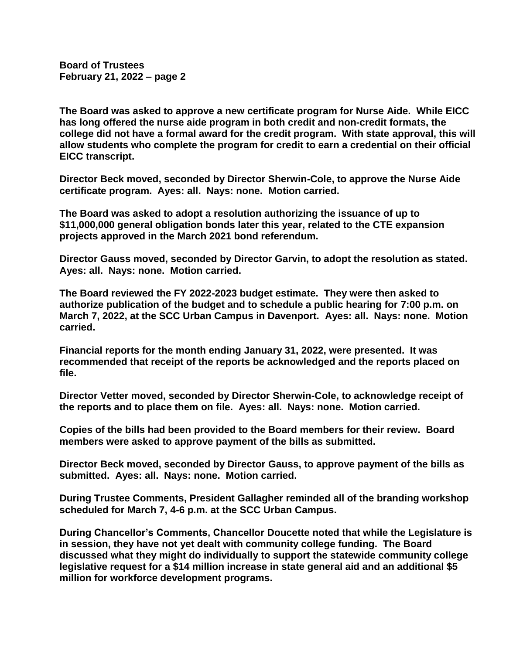**Board of Trustees February 21, 2022 – page 2**

**The Board was asked to approve a new certificate program for Nurse Aide. While EICC has long offered the nurse aide program in both credit and non-credit formats, the college did not have a formal award for the credit program. With state approval, this will allow students who complete the program for credit to earn a credential on their official EICC transcript.**

**Director Beck moved, seconded by Director Sherwin-Cole, to approve the Nurse Aide certificate program. Ayes: all. Nays: none. Motion carried.**

**The Board was asked to adopt a resolution authorizing the issuance of up to \$11,000,000 general obligation bonds later this year, related to the CTE expansion projects approved in the March 2021 bond referendum.**

**Director Gauss moved, seconded by Director Garvin, to adopt the resolution as stated. Ayes: all. Nays: none. Motion carried.**

**The Board reviewed the FY 2022-2023 budget estimate. They were then asked to authorize publication of the budget and to schedule a public hearing for 7:00 p.m. on March 7, 2022, at the SCC Urban Campus in Davenport. Ayes: all. Nays: none. Motion carried.**

**Financial reports for the month ending January 31, 2022, were presented. It was recommended that receipt of the reports be acknowledged and the reports placed on file.**

**Director Vetter moved, seconded by Director Sherwin-Cole, to acknowledge receipt of the reports and to place them on file. Ayes: all. Nays: none. Motion carried.**

**Copies of the bills had been provided to the Board members for their review. Board members were asked to approve payment of the bills as submitted.**

**Director Beck moved, seconded by Director Gauss, to approve payment of the bills as submitted. Ayes: all. Nays: none. Motion carried.**

**During Trustee Comments, President Gallagher reminded all of the branding workshop scheduled for March 7, 4-6 p.m. at the SCC Urban Campus.**

**During Chancellor's Comments, Chancellor Doucette noted that while the Legislature is in session, they have not yet dealt with community college funding. The Board discussed what they might do individually to support the statewide community college legislative request for a \$14 million increase in state general aid and an additional \$5 million for workforce development programs.**